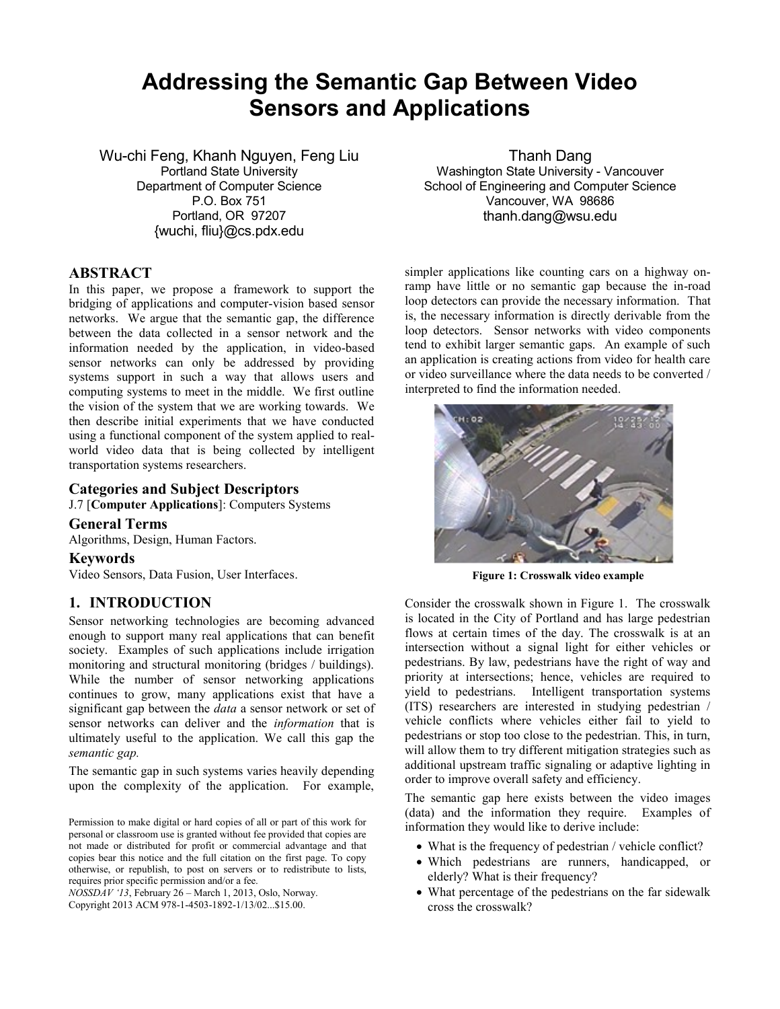## **Addressing the Semantic Gap Between Video Sensors and Applications**

Wu-chi Feng, Khanh Nguyen, Feng Liu

Portland State University Department of Computer Science P.O. Box 751 Portland, OR 97207 {wuchi, fliu}@cs.pdx.edu

#### **ABSTRACT**

In this paper, we propose a framework to support the bridging of applications and computer-vision based sensor networks. We argue that the semantic gap, the difference between the data collected in a sensor network and the information needed by the application, in video-based sensor networks can only be addressed by providing systems support in such a way that allows users and computing systems to meet in the middle. We first outline the vision of the system that we are working towards. We then describe initial experiments that we have conducted using a functional component of the system applied to realworld video data that is being collected by intelligent transportation systems researchers.

#### **Categories and Subject Descriptors**

J.7 [**Computer Applications**]: Computers Systems

**General Terms**

Algorithms, Design, Human Factors.

#### **Keywords**

Video Sensors, Data Fusion, User Interfaces.

#### **1. INTRODUCTION**

Sensor networking technologies are becoming advanced enough to support many real applications that can benefit society. Examples of such applications include irrigation monitoring and structural monitoring (bridges / buildings). While the number of sensor networking applications continues to grow, many applications exist that have a significant gap between the *data* a sensor network or set of sensor networks can deliver and the *information* that is ultimately useful to the application. We call this gap the *semantic gap.*

The semantic gap in such systems varies heavily depending upon the complexity of the application. For example,

*NOSSDAV '13*, February 26 – March 1, 2013, Oslo, Norway. Copyright 2013 ACM 978-1-4503-1892-1/13/02...\$15.00.

Thanh Dang Washington State University - Vancouver School of Engineering and Computer Science Vancouver, WA 98686 thanh.dang@wsu.edu

simpler applications like counting cars on a highway onramp have little or no semantic gap because the in-road loop detectors can provide the necessary information. That is, the necessary information is directly derivable from the loop detectors. Sensor networks with video components tend to exhibit larger semantic gaps. An example of such an application is creating actions from video for health care or video surveillance where the data needs to be converted / interpreted to find the information needed.



**Figure 1: Crosswalk video example**

Consider the crosswalk shown in Figure 1. The crosswalk is located in the City of Portland and has large pedestrian flows at certain times of the day. The crosswalk is at an intersection without a signal light for either vehicles or pedestrians. By law, pedestrians have the right of way and priority at intersections; hence, vehicles are required to yield to pedestrians. Intelligent transportation systems (ITS) researchers are interested in studying pedestrian / vehicle conflicts where vehicles either fail to yield to pedestrians or stop too close to the pedestrian. This, in turn, will allow them to try different mitigation strategies such as additional upstream traffic signaling or adaptive lighting in order to improve overall safety and efficiency.

The semantic gap here exists between the video images (data) and the information they require. Examples of information they would like to derive include:

- What is the frequency of pedestrian / vehicle conflict?
- Which pedestrians are runners, handicapped, or elderly? What is their frequency?
- What percentage of the pedestrians on the far sidewalk cross the crosswalk?

Permission to make digital or hard copies of all or part of this work for personal or classroom use is granted without fee provided that copies are not made or distributed for profit or commercial advantage and that copies bear this notice and the full citation on the first page. To copy otherwise, or republish, to post on servers or to redistribute to lists, requires prior specific permission and/or a fee.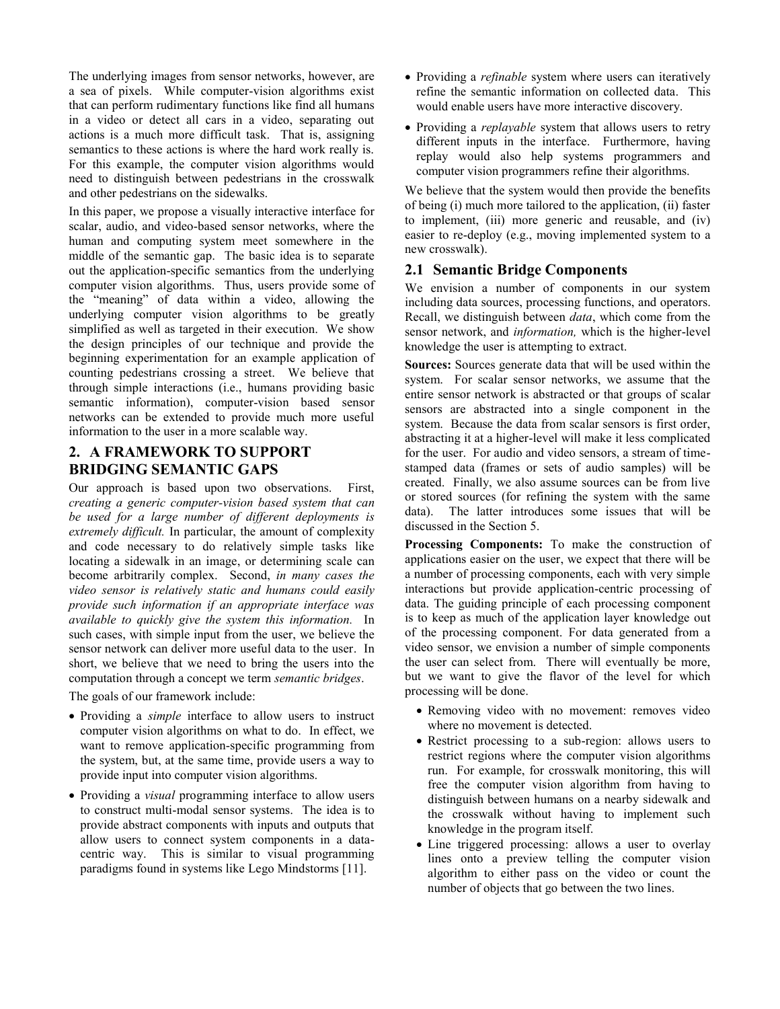The underlying images from sensor networks, however, are a sea of pixels. While computer-vision algorithms exist that can perform rudimentary functions like find all humans in a video or detect all cars in a video, separating out actions is a much more difficult task. That is, assigning semantics to these actions is where the hard work really is. For this example, the computer vision algorithms would need to distinguish between pedestrians in the crosswalk and other pedestrians on the sidewalks.

In this paper, we propose a visually interactive interface for scalar, audio, and video-based sensor networks, where the human and computing system meet somewhere in the middle of the semantic gap. The basic idea is to separate out the application-specific semantics from the underlying computer vision algorithms. Thus, users provide some of the "meaning" of data within a video, allowing the underlying computer vision algorithms to be greatly simplified as well as targeted in their execution. We show the design principles of our technique and provide the beginning experimentation for an example application of counting pedestrians crossing a street. We believe that through simple interactions (i.e., humans providing basic semantic information), computer-vision based sensor networks can be extended to provide much more useful information to the user in a more scalable way.

## **2. A FRAMEWORK TO SUPPORT BRIDGING SEMANTIC GAPS**

Our approach is based upon two observations. First, *creating a generic computer-vision based system that can be used for a large number of different deployments is extremely difficult.* In particular, the amount of complexity and code necessary to do relatively simple tasks like locating a sidewalk in an image, or determining scale can become arbitrarily complex. Second, *in many cases the video sensor is relatively static and humans could easily provide such information if an appropriate interface was available to quickly give the system this information.* In such cases, with simple input from the user, we believe the sensor network can deliver more useful data to the user. In short, we believe that we need to bring the users into the computation through a concept we term *semantic bridges*.

The goals of our framework include:

- Providing a *simple* interface to allow users to instruct computer vision algorithms on what to do. In effect, we want to remove application-specific programming from the system, but, at the same time, provide users a way to provide input into computer vision algorithms.
- Providing a *visual* programming interface to allow users to construct multi-modal sensor systems. The idea is to provide abstract components with inputs and outputs that allow users to connect system components in a datacentric way. This is similar to visual programming paradigms found in systems like Lego Mindstorms [\[11\].](#page-5-0)
- Providing a *refinable* system where users can iteratively refine the semantic information on collected data. This would enable users have more interactive discovery.
- Providing a *replayable* system that allows users to retry different inputs in the interface. Furthermore, having replay would also help systems programmers and computer vision programmers refine their algorithms.

We believe that the system would then provide the benefits of being (i) much more tailored to the application, (ii) faster to implement, (iii) more generic and reusable, and (iv) easier to re-deploy (e.g., moving implemented system to a new crosswalk).

## **2.1 Semantic Bridge Components**

We envision a number of components in our system including data sources, processing functions, and operators. Recall, we distinguish between *data*, which come from the sensor network, and *information,* which is the higher-level knowledge the user is attempting to extract.

**Sources:** Sources generate data that will be used within the system. For scalar sensor networks, we assume that the entire sensor network is abstracted or that groups of scalar sensors are abstracted into a single component in the system. Because the data from scalar sensors is first order, abstracting it at a higher-level will make it less complicated for the user. For audio and video sensors, a stream of timestamped data (frames or sets of audio samples) will be created. Finally, we also assume sources can be from live or stored sources (for refining the system with the same data). The latter introduces some issues that will be discussed in the Section 5.

**Processing Components:** To make the construction of applications easier on the user, we expect that there will be a number of processing components, each with very simple interactions but provide application-centric processing of data. The guiding principle of each processing component is to keep as much of the application layer knowledge out of the processing component. For data generated from a video sensor, we envision a number of simple components the user can select from. There will eventually be more, but we want to give the flavor of the level for which processing will be done.

- Removing video with no movement: removes video where no movement is detected.
- Restrict processing to a sub-region: allows users to restrict regions where the computer vision algorithms run. For example, for crosswalk monitoring, this will free the computer vision algorithm from having to distinguish between humans on a nearby sidewalk and the crosswalk without having to implement such knowledge in the program itself.
- Line triggered processing: allows a user to overlay lines onto a preview telling the computer vision algorithm to either pass on the video or count the number of objects that go between the two lines.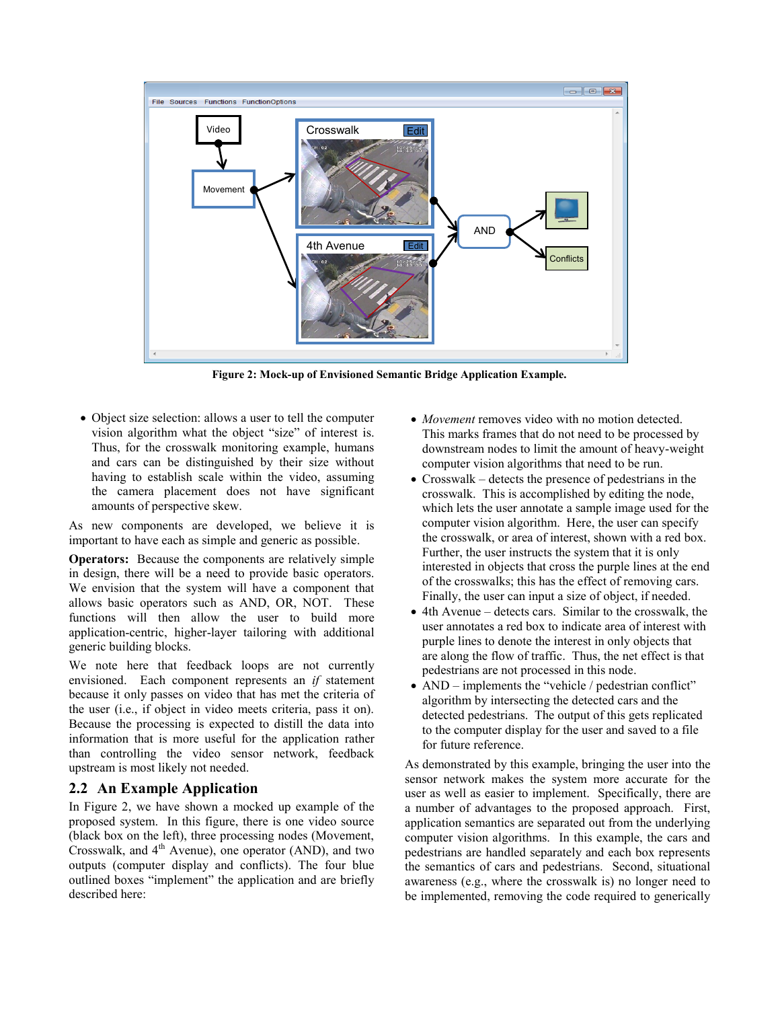

**Figure 2: Mock-up of Envisioned Semantic Bridge Application Example.**

 Object size selection: allows a user to tell the computer vision algorithm what the object "size" of interest is. Thus, for the crosswalk monitoring example, humans and cars can be distinguished by their size without having to establish scale within the video, assuming the camera placement does not have significant amounts of perspective skew.

As new components are developed, we believe it is important to have each as simple and generic as possible.

**Operators:** Because the components are relatively simple in design, there will be a need to provide basic operators. We envision that the system will have a component that allows basic operators such as AND, OR, NOT. These functions will then allow the user to build more application-centric, higher-layer tailoring with additional generic building blocks.

We note here that feedback loops are not currently envisioned. Each component represents an *if* statement because it only passes on video that has met the criteria of the user (i.e., if object in video meets criteria, pass it on). Because the processing is expected to distill the data into information that is more useful for the application rather than controlling the video sensor network, feedback upstream is most likely not needed.

## **2.2 An Example Application**

In Figure 2, we have shown a mocked up example of the proposed system. In this figure, there is one video source (black box on the left), three processing nodes (Movement, Crosswalk, and  $4<sup>th</sup>$  Avenue), one operator (AND), and two outputs (computer display and conflicts). The four blue outlined boxes "implement" the application and are briefly described here:

- *Movement* removes video with no motion detected. This marks frames that do not need to be processed by downstream nodes to limit the amount of heavy-weight computer vision algorithms that need to be run.
- Crosswalk detects the presence of pedestrians in the crosswalk. This is accomplished by editing the node, which lets the user annotate a sample image used for the computer vision algorithm. Here, the user can specify the crosswalk, or area of interest, shown with a red box. Further, the user instructs the system that it is only interested in objects that cross the purple lines at the end of the crosswalks; this has the effect of removing cars. Finally, the user can input a size of object, if needed.
- 4th Avenue detects cars. Similar to the crosswalk, the user annotates a red box to indicate area of interest with purple lines to denote the interest in only objects that are along the flow of traffic. Thus, the net effect is that pedestrians are not processed in this node.
- AND implements the "vehicle / pedestrian conflict" algorithm by intersecting the detected cars and the detected pedestrians. The output of this gets replicated to the computer display for the user and saved to a file for future reference.

As demonstrated by this example, bringing the user into the sensor network makes the system more accurate for the user as well as easier to implement. Specifically, there are a number of advantages to the proposed approach. First, application semantics are separated out from the underlying computer vision algorithms. In this example, the cars and pedestrians are handled separately and each box represents the semantics of cars and pedestrians. Second, situational awareness (e.g., where the crosswalk is) no longer need to be implemented, removing the code required to generically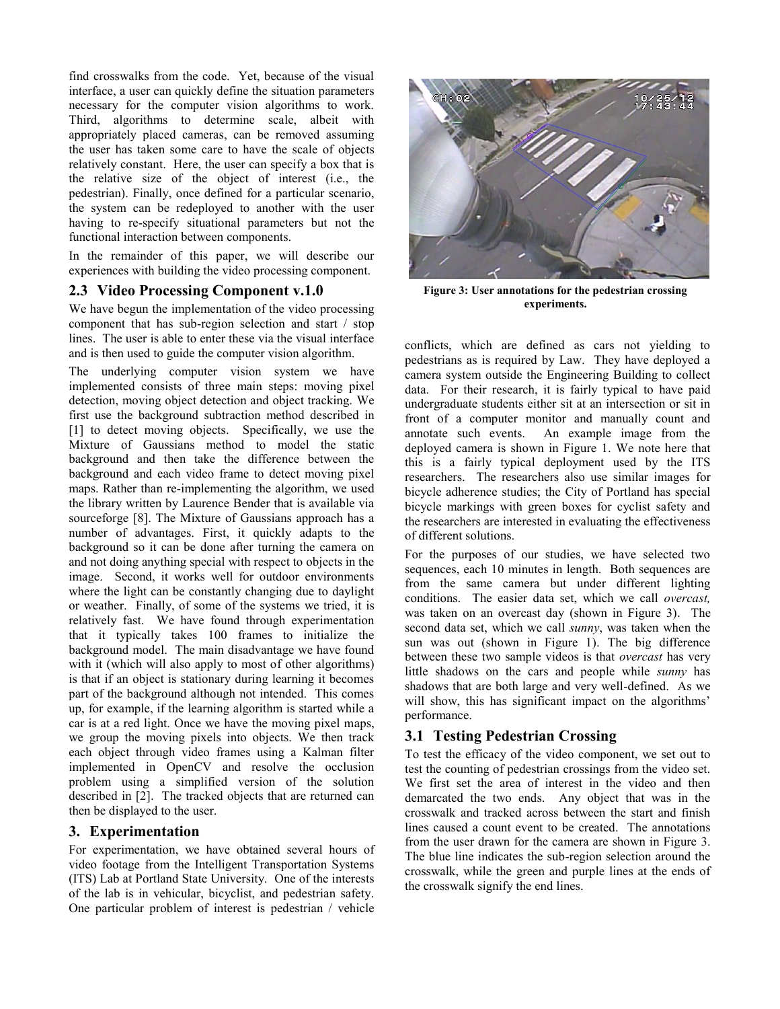find crosswalks from the code. Yet, because of the visual interface, a user can quickly define the situation parameters necessary for the computer vision algorithms to work. Third, algorithms to determine scale, albeit with appropriately placed cameras, can be removed assuming the user has taken some care to have the scale of objects relatively constant. Here, the user can specify a box that is the relative size of the object of interest (i.e., the pedestrian). Finally, once defined for a particular scenario, the system can be redeployed to another with the user having to re-specify situational parameters but not the functional interaction between components.

In the remainder of this paper, we will describe our experiences with building the video processing component.

### **2.3 Video Processing Component v.1.0**

We have begun the implementation of the video processing component that has sub-region selection and start / stop lines. The user is able to enter these via the visual interface and is then used to guide the computer vision algorithm.

The underlying computer vision system we have implemented consists of three main steps: moving pixel detection, moving object detection and object tracking. We first use the background subtraction method described in [\[1\]](#page-5-1) to detect moving objects. Specifically, we use the Mixture of Gaussians method to model the static background and then take the difference between the background and each video frame to detect moving pixel maps. Rather than re-implementing the algorithm, we used the library written by Laurence Bender that is available via sourceforge [\[8\].](#page-5-2) The Mixture of Gaussians approach has a number of advantages. First, it quickly adapts to the background so it can be done after turning the camera on and not doing anything special with respect to objects in the image. Second, it works well for outdoor environments where the light can be constantly changing due to daylight or weather. Finally, of some of the systems we tried, it is relatively fast. We have found through experimentation that it typically takes 100 frames to initialize the background model. The main disadvantage we have found with it (which will also apply to most of other algorithms) is that if an object is stationary during learning it becomes part of the background although not intended. This comes up, for example, if the learning algorithm is started while a car is at a red light. Once we have the moving pixel maps, we group the moving pixels into objects. We then track each object through video frames using a Kalman filter implemented in OpenCV and resolve the occlusion problem using a simplified version of the solution described in [\[2\].](#page-5-3) The tracked objects that are returned can then be displayed to the user.

#### **3. Experimentation**

For experimentation, we have obtained several hours of video footage from the Intelligent Transportation Systems (ITS) Lab at Portland State University. One of the interests of the lab is in vehicular, bicyclist, and pedestrian safety. One particular problem of interest is pedestrian / vehicle



**Figure 3: User annotations for the pedestrian crossing experiments.**

conflicts, which are defined as cars not yielding to pedestrians as is required by Law. They have deployed a camera system outside the Engineering Building to collect data. For their research, it is fairly typical to have paid undergraduate students either sit at an intersection or sit in front of a computer monitor and manually count and annotate such events. An example image from the deployed camera is shown in Figure 1. We note here that this is a fairly typical deployment used by the ITS researchers. The researchers also use similar images for bicycle adherence studies; the City of Portland has special bicycle markings with green boxes for cyclist safety and the researchers are interested in evaluating the effectiveness of different solutions.

For the purposes of our studies, we have selected two sequences, each 10 minutes in length. Both sequences are from the same camera but under different lighting conditions. The easier data set, which we call *overcast,*  was taken on an overcast day (shown in Figure 3). The second data set, which we call *sunny*, was taken when the sun was out (shown in Figure 1). The big difference between these two sample videos is that *overcast* has very little shadows on the cars and people while *sunny* has shadows that are both large and very well-defined. As we will show, this has significant impact on the algorithms' performance.

## **3.1 Testing Pedestrian Crossing**

To test the efficacy of the video component, we set out to test the counting of pedestrian crossings from the video set. We first set the area of interest in the video and then demarcated the two ends. Any object that was in the crosswalk and tracked across between the start and finish lines caused a count event to be created. The annotations from the user drawn for the camera are shown in Figure 3. The blue line indicates the sub-region selection around the crosswalk, while the green and purple lines at the ends of the crosswalk signify the end lines.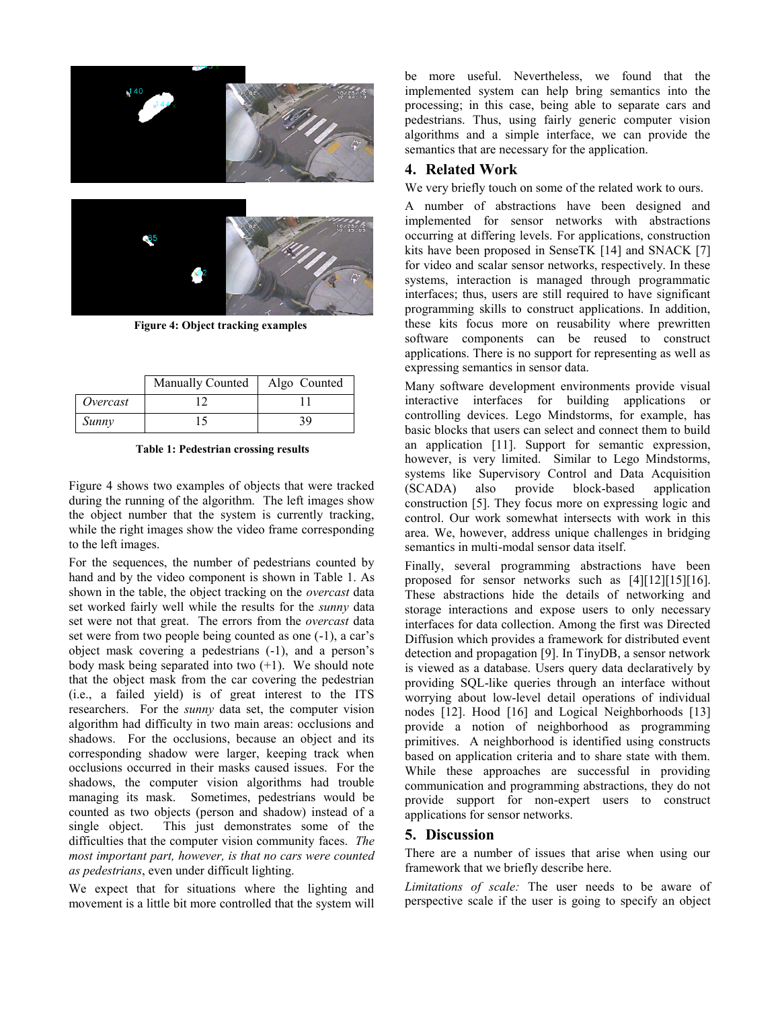

**Figure 4: Object tracking examples**

|          | Manually Counted | Algo Counted |
|----------|------------------|--------------|
| Overcast |                  |              |
| Sunny    |                  | 39           |

**Table 1: Pedestrian crossing results**

Figure 4 shows two examples of objects that were tracked during the running of the algorithm. The left images show the object number that the system is currently tracking, while the right images show the video frame corresponding to the left images.

For the sequences, the number of pedestrians counted by hand and by the video component is shown in Table 1. As shown in the table, the object tracking on the *overcast* data set worked fairly well while the results for the *sunny* data set were not that great. The errors from the *overcast* data set were from two people being counted as one (-1), a car's object mask covering a pedestrians (-1), and a person's body mask being separated into two  $(+1)$ . We should note that the object mask from the car covering the pedestrian (i.e., a failed yield) is of great interest to the ITS researchers. For the *sunny* data set, the computer vision algorithm had difficulty in two main areas: occlusions and shadows. For the occlusions, because an object and its corresponding shadow were larger, keeping track when occlusions occurred in their masks caused issues. For the shadows, the computer vision algorithms had trouble managing its mask. Sometimes, pedestrians would be counted as two objects (person and shadow) instead of a single object. This just demonstrates some of the difficulties that the computer vision community faces. *The most important part, however, is that no cars were counted as pedestrians*, even under difficult lighting.

We expect that for situations where the lighting and movement is a little bit more controlled that the system will

be more useful. Nevertheless, we found that the implemented system can help bring semantics into the processing; in this case, being able to separate cars and pedestrians. Thus, using fairly generic computer vision algorithms and a simple interface, we can provide the semantics that are necessary for the application.

#### **4. Related Work**

We very briefly touch on some of the related work to ours.

A number of abstractions have been designed and implemented for sensor networks with abstractions occurring at differing levels. For applications, construction kits have been proposed in SenseTK [\[14\]](#page-5-4) and SNACK [\[7\]](#page-5-5) for video and scalar sensor networks, respectively. In these systems, interaction is managed through programmatic interfaces; thus, users are still required to have significant programming skills to construct applications. In addition, these kits focus more on reusability where prewritten software components can be reused to construct applications. There is no support for representing as well as expressing semantics in sensor data.

Many software development environments provide visual interactive interfaces for building applications or controlling devices. Lego Mindstorms, for example, has basic blocks that users can select and connect them to build an application [\[11\].](#page-5-0) Support for semantic expression, however, is very limited. Similar to Lego Mindstorms, systems like Supervisory Control and Data Acquisition<br>(SCADA) also provide block-based application (SCADA) also provide block-based application construction [\[5\].](#page-5-6) They focus more on expressing logic and control. Our work somewhat intersects with work in this area. We, however, address unique challenges in bridging semantics in multi-modal sensor data itself.

Finally, several programming abstractions have been proposed for sensor networks such as [\[4\]\[12\]](#page-5-7)[\[15\]\[16\].](#page-5-8) These abstractions hide the details of networking and storage interactions and expose users to only necessary interfaces for data collection. Among the first was Directed Diffusion which provides a framework for distributed event detection and propagation [\[9\].](#page-5-9) In TinyDB, a sensor network is viewed as a database. Users query data declaratively by providing SQL-like queries through an interface without worrying about low-level detail operations of individual nodes [\[12\].](#page-5-10) Hood [\[16\]](#page-5-11) and Logical Neighborhoods [\[13\]](#page-5-12) provide a notion of neighborhood as programming primitives. A neighborhood is identified using constructs based on application criteria and to share state with them. While these approaches are successful in providing communication and programming abstractions, they do not provide support for non-expert users to construct applications for sensor networks.

#### **5. Discussion**

There are a number of issues that arise when using our framework that we briefly describe here.

*Limitations of scale:* The user needs to be aware of perspective scale if the user is going to specify an object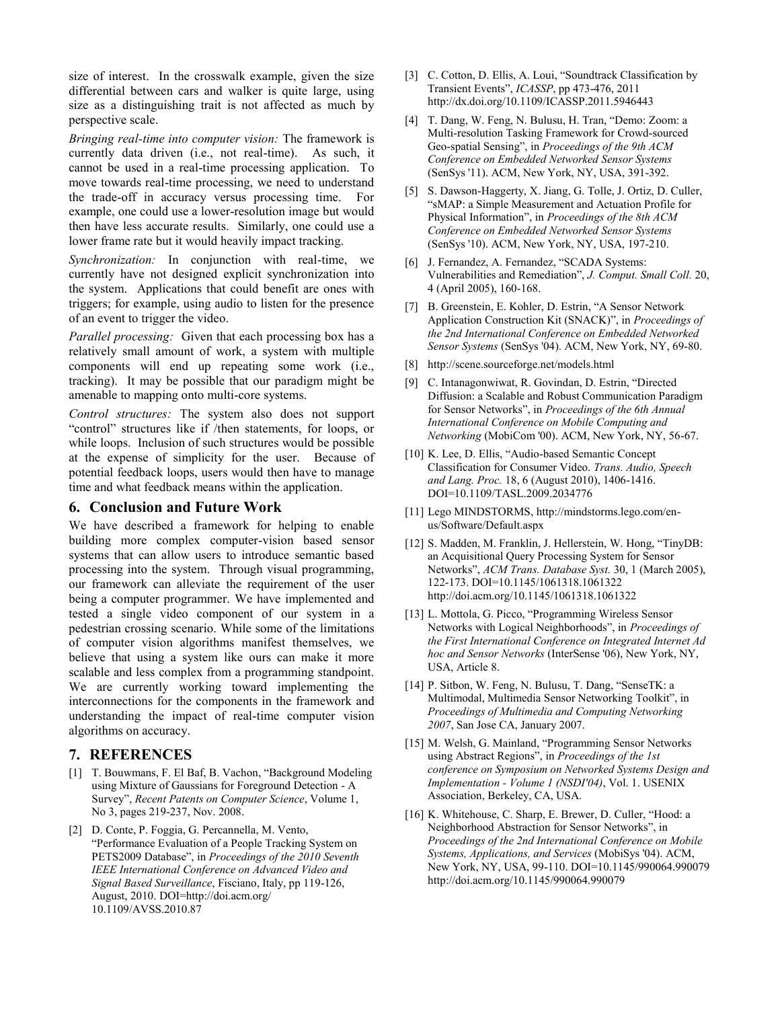size of interest. In the crosswalk example, given the size differential between cars and walker is quite large, using size as a distinguishing trait is not affected as much by perspective scale.

*Bringing real-time into computer vision:* The framework is currently data driven (i.e., not real-time). As such, it cannot be used in a real-time processing application. To move towards real-time processing, we need to understand the trade-off in accuracy versus processing time. For example, one could use a lower-resolution image but would then have less accurate results. Similarly, one could use a lower frame rate but it would heavily impact tracking.

*Synchronization:* In conjunction with real-time, we currently have not designed explicit synchronization into the system. Applications that could benefit are ones with triggers; for example, using audio to listen for the presence of an event to trigger the video.

*Parallel processing:* Given that each processing box has a relatively small amount of work, a system with multiple components will end up repeating some work (i.e., tracking). It may be possible that our paradigm might be amenable to mapping onto multi-core systems.

*Control structures:* The system also does not support "control" structures like if /then statements, for loops, or while loops. Inclusion of such structures would be possible at the expense of simplicity for the user. Because of potential feedback loops, users would then have to manage time and what feedback means within the application.

#### **6. Conclusion and Future Work**

We have described a framework for helping to enable building more complex computer-vision based sensor systems that can allow users to introduce semantic based processing into the system. Through visual programming, our framework can alleviate the requirement of the user being a computer programmer. We have implemented and tested a single video component of our system in a pedestrian crossing scenario. While some of the limitations of computer vision algorithms manifest themselves, we believe that using a system like ours can make it more scalable and less complex from a programming standpoint. We are currently working toward implementing the interconnections for the components in the framework and understanding the impact of real-time computer vision algorithms on accuracy.

#### **7. REFERENCES**

- <span id="page-5-1"></span>[1] T. Bouwmans, F. El Baf, B. Vachon, "Background Modeling using Mixture of Gaussians for Foreground Detection - A Survey", *Recent Patents on Computer Science*, Volume 1, No 3, pages 219-237, Nov. 2008.
- <span id="page-5-3"></span>[2] D. Conte, P. Foggia, G. Percannella, M. Vento, "Performance Evaluation of a People Tracking System on PETS2009 Database", in *Proceedings of the 2010 Seventh IEEE International Conference on Advanced Video and Signal Based Surveillance*, Fisciano, Italy, pp 119-126, August, 2010. DOI=http://doi.acm.org/ 10.1109/AVSS.2010.87
- [3] C. Cotton, D. Ellis, A. Loui, "Soundtrack Classification by Transient Events", *ICASSP*, pp 473-476, 2011 http://dx.doi.org/10.1109/ICASSP.2011.5946443
- <span id="page-5-7"></span>[4] T. Dang, W. Feng, N. Bulusu, H. Tran, "Demo: Zoom: a Multi-resolution Tasking Framework for Crowd-sourced Geo-spatial Sensing", in *Proceedings of the 9th ACM Conference on Embedded Networked Sensor Systems* (SenSys '11). ACM, New York, NY, USA, 391-392.
- [5] S. Dawson-Haggerty, X. Jiang, G. Tolle, J. Ortiz, D. Culler, "sMAP: a Simple Measurement and Actuation Profile for Physical Information", in *Proceedings of the 8th ACM Conference on Embedded Networked Sensor Systems* (SenSys '10). ACM, New York, NY, USA, 197-210.
- <span id="page-5-6"></span>[6] J. Fernandez, A. Fernandez, "SCADA Systems: Vulnerabilities and Remediation", *J. Comput. Small Coll.* 20, 4 (April 2005), 160-168.
- <span id="page-5-5"></span>[7] B. Greenstein, E. Kohler, D. Estrin, "A Sensor Network Application Construction Kit (SNACK)", in *Proceedings of the 2nd International Conference on Embedded Networked Sensor Systems* (SenSys '04). ACM, New York, NY, 69-80.
- <span id="page-5-2"></span>[8] http://scene.sourceforge.net/models.html
- <span id="page-5-9"></span>[9] C. Intanagonwiwat, R. Govindan, D. Estrin, "Directed Diffusion: a Scalable and Robust Communication Paradigm for Sensor Networks", in *Proceedings of the 6th Annual International Conference on Mobile Computing and Networking* (MobiCom '00). ACM, New York, NY, 56-67.
- [10] K. Lee, D. Ellis, "Audio-based Semantic Concept Classification for Consumer Video. *Trans. Audio, Speech and Lang. Proc.* 18, 6 (August 2010), 1406-1416. DOI=10.1109/TASL.2009.2034776
- <span id="page-5-0"></span>[11] Lego MINDSTORMS, http://mindstorms.lego.com/enus/Software/Default.aspx
- <span id="page-5-10"></span>[12] S. Madden, M. Franklin, J. Hellerstein, W. Hong, "TinyDB: an Acquisitional Query Processing System for Sensor Networks", *ACM Trans. Database Syst.* 30, 1 (March 2005), 122-173. DOI=10.1145/1061318.1061322 http://doi.acm.org/10.1145/1061318.1061322
- <span id="page-5-12"></span>[13] L. Mottola, G. Picco, "Programming Wireless Sensor Networks with Logical Neighborhoods", in *Proceedings of the First International Conference on Integrated Internet Ad hoc and Sensor Networks* (InterSense '06), New York, NY, USA, Article 8.
- <span id="page-5-4"></span>[14] P. Sitbon, W. Feng, N. Bulusu, T. Dang, "SenseTK: a Multimodal, Multimedia Sensor Networking Toolkit", in *Proceedings of Multimedia and Computing Networking 2007*, San Jose CA, January 2007.
- <span id="page-5-8"></span>[15] M. Welsh, G. Mainland, "Programming Sensor Networks using Abstract Regions", in *Proceedings of the 1st conference on Symposium on Networked Systems Design and Implementation - Volume 1 (NSDI'04)*, Vol. 1. USENIX Association, Berkeley, CA, USA.
- <span id="page-5-11"></span>[16] K. Whitehouse, C. Sharp, E. Brewer, D. Culler, "Hood: a Neighborhood Abstraction for Sensor Networks", in *Proceedings of the 2nd International Conference on Mobile Systems, Applications, and Services* (MobiSys '04). ACM, New York, NY, USA, 99-110. DOI=10.1145/990064.990079 http://doi.acm.org/10.1145/990064.990079